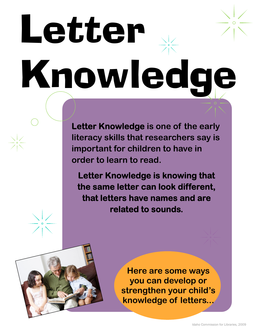# Letter Knowledge

**Letter Knowledge is one of the early literacy skills that researchers say is important for children to have in order to learn to read.** 

**Letter Knowledge is knowing that the same letter can look different, that letters have names and are related to sounds.** 



**Here are some ways you can develop or strengthen your child's knowledge of letters...**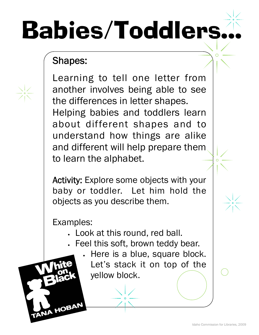## Babies/Toddlers...

### Shapes:

Learning to tell one letter from another involves being able to see the differences in letter shapes. Helping babies and toddlers learn about different shapes and to understand how things are alike and different will help prepare them to learn the alphabet.

Activity: Explore some objects with your baby or toddler. Let him hold the objects as you describe them.

Examples:

HOBAN

- Look at this round, red ball.
- Feel this soft, brown teddy bear.
	- Here is a blue, square block.
		- Let's stack it on top of the yellow block.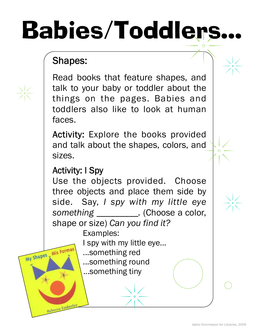### Babies/Toddlers...

### Shapes:

 $\frac{1}{2}$ 

Read books that feature shapes, and talk to your baby or toddler about the things on the pages. Babies and toddlers also like to look at human faces.

Activity: Explore the books provided and talk about the shapes, colors, and sizes.

### Activity: I Spy

My Shapes Mis Forma

Rebecca Emberley

Use the objects provided. Choose three objects and place them side by side. Say, *I spy with my little eye something \_\_\_\_\_\_\_\_\_.* (Choose a color, shape or size) *Can you find it?* 

Examples:

I spy with my little eye...

- ...something red
- ...something round

...something tiny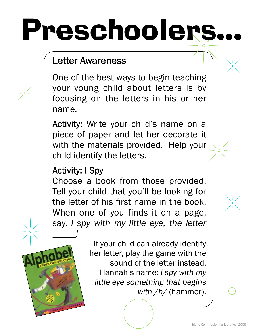## Preschoolers...

### Letter Awareness

One of the best ways to begin teaching your young child about letters is by focusing on the letters in his or her name.

Activity: Write your child's name on a piece of paper and let her decorate it with the materials provided. Help your child identify the letters.

### Activity: I Spy

*\_\_\_\_\_!* 

Choose a book from those provided. Tell your child that you'll be looking for the letter of his first name in the book. When one of you finds it on a page, say, *I spy with my little eye, the letter* 

> If your child can already identify her letter, play the game with the sound of the letter instead. Hannah's name: *I spy with my little eye something that begins with /h/* (hammer).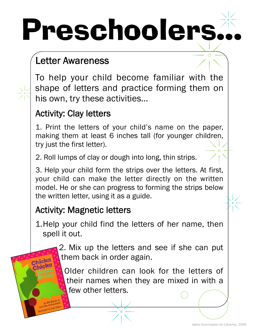## Preschoolers.

### Letter Awareness

To help your child become familiar with the shape of letters and practice forming them on his own, try these activities…

#### Activity: Clay letters

1. Print the letters of your child's name on the paper, making them at least 6 inches tall (for younger children, try just the first letter).

2. Roll lumps of clay or dough into long, thin strips.

3. Help your child form the strips over the letters. At first, your child can make the letter directly on the written model. He or she can progress to forming the strips below the written letter, using it as a guide.

#### Activity: Magnetic letters

- 1. Help your child find the letters of her name, then spell it out.
	- 2. Mix up the letters and see if she can put them back in order again.

Older children can look for the letters of their names when they are mixed in with a few other letters.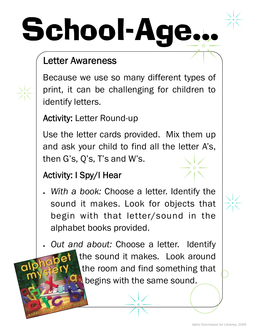## School-Age

### Letter Awareness

Because we use so many different types of print, it can be challenging for children to identify letters.

Activity: Letter Round-up

Use the letter cards provided. Mix them up and ask your child to find all the letter A's, then G's, Q's, T's and W's.

### Activity: I Spy/I Hear

 *With a book:* Choose a letter. Identify the sound it makes. Look for objects that begin with that letter/sound in the alphabet books provided.

*Out and about:* Choose a letter. Identify

the sound it makes. Look around the room and find something that begins with the same sound.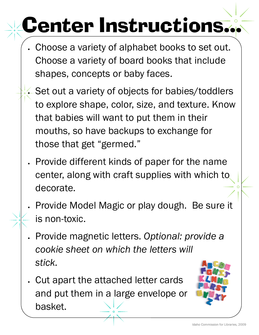### Center Instructions...

- Choose a variety of alphabet books to set out. Choose a variety of board books that include shapes, concepts or baby faces.
- Set out a variety of objects for babies/toddlers to explore shape, color, size, and texture. Know that babies will want to put them in their mouths, so have backups to exchange for those that get "germed."
- Provide different kinds of paper for the name center, along with craft supplies with which to decorate.
- Provide Model Magic or play dough. Be sure it is non-toxic.
- Provide magnetic letters. *Optional: provide a cookie sheet on which the letters will stick.*
- Cut apart the attached letter cards and put them in a large envelope or basket.

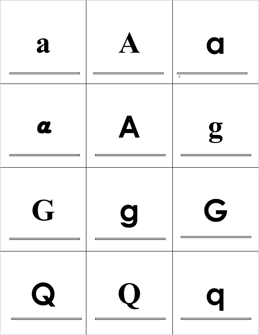